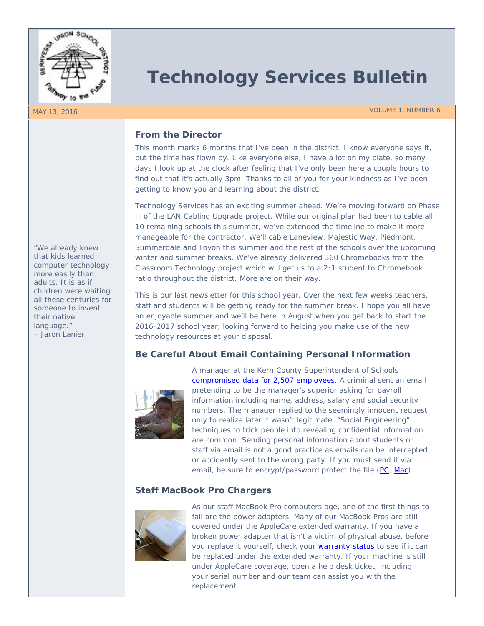

# **Technology Services Bulletin**

MAY 13, 2016 VOLUME 1, NUMBER 6

### **From the Director**

This month marks 6 months that I've been in the district. I know everyone says it, but the time has flown by. Like everyone else, I have a lot on my plate, so many days I look up at the clock after feeling that I've only been here a couple hours to find out that it's actually 3pm. Thanks to all of you for your kindness as I've been getting to know you and learning about the district.

Technology Services has an exciting summer ahead. We're moving forward on Phase II of the LAN Cabling Upgrade project. While our original plan had been to cable all 10 remaining schools this summer, we've extended the timeline to make it more manageable for the contractor. We'll cable Laneview, Majestic Way, Piedmont, Summerdale and Toyon this summer and the rest of the schools over the upcoming winter and summer breaks. We've already delivered 360 Chromebooks from the Classroom Technology project which will get us to a 2:1 student to Chromebook ratio throughout the district. More are on their way.

This is our last newsletter for this school year. Over the next few weeks teachers, staff and students will be getting ready for the summer break. I hope you all have an enjoyable summer and we'll be here in August when you get back to start the 2016-2017 school year, looking forward to helping you make use of the new technology resources at your disposal.

## **Be Careful About Email Containing Personal Information**



A manager at the Kern County Superintendent of Schools [compromised data for 2,507 employees.](http://www.bakersfield.com/News/2016/05/09/Phishing-attack-compromises-KCSOS-employees-information.html) A criminal sent an email pretending to be the manager's superior asking for payroll information including name, address, salary and social security numbers. The manager replied to the seemingly innocent request only to realize later it wasn't legitimate. "Social Engineering" techniques to trick people into revealing confidential information are common. Sending personal information about students or staff via email is not a good practice as emails can be intercepted or accidently sent to the wrong party. If you must send it via email, be sure to encrypt/password protect the file [\(PC,](https://www.sophos.com/en-us/support/knowledgebase/11489.aspx) [Mac\)](http://www.appducate.com/2013/01/compress-zip-files-and-folders-on-your-mac/).

# **Staff MacBook Pro Chargers**



As our staff MacBook Pro computers age, one of the first things to fail are the power adapters. Many of our MacBook Pros are still covered under the AppleCare extended warranty. If you have a broken power adapter that isn't a victim of physical abuse, before you replace it yourself, check your [warranty status](https://checkcoverage.apple.com/) to see if it can be replaced under the extended warranty. If your machine is still under AppleCare coverage, open a help desk ticket, including your serial number and our team can assist you with the replacement.

*"We already knew that kids learned computer technology more easily than adults. It is as if children were waiting all these centuries for someone to invent their native language." – Jaron Lanier*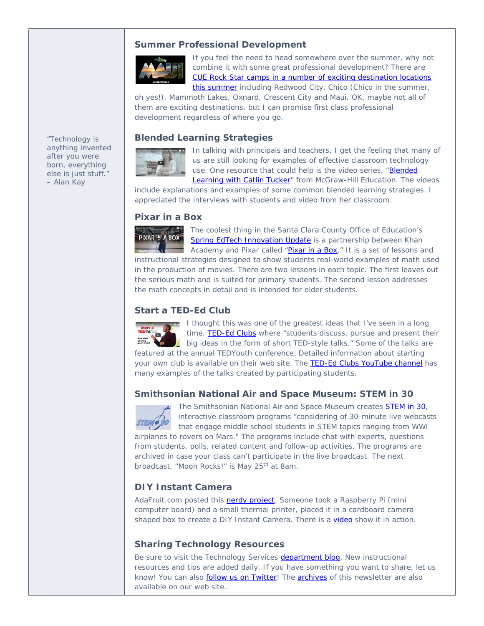#### **Summer Professional Development**



If you feel the need to head somewhere over the summer, why not combine it with some great professional development? There are [CUE Rock Star camps in a number of exciting destination locations](http://busdtechnology.blogspot.com/2016/05/in-past-life-i-was-network-and.html)  [this summer](http://busdtechnology.blogspot.com/2016/05/in-past-life-i-was-network-and.html) including Redwood City, Chico (Chico in the summer,

oh yes!), Mammoth Lakes, Oxnard, Crescent City and Maui. OK, maybe not all of them are exciting destinations, but I can promise first class professional development regardless of where you go.

#### **Blended Learning Strategies**

*"Technology is anything invented after you were born, everything else is just stuff." – Alan Kay*



In talking with principals and teachers, I get the feeling that many of us are still looking for examples of effective classroom technology use. One resource that could help is the video series, "Blended [Learning with Catlin Tucker"](http://mheonline.com/BlendedLearningwithCatlin) from McGraw-Hill Education. The videos

include explanations and examples of some common blended learning strategies. I appreciated the interviews with students and video from her classroom.

#### **Pixar in a Box**



The coolest thing in the Santa Clara County Office of Education's [Spring EdTech Innovation Update](https://docs.google.com/document/d/1gjjs9_rejlepK6Zh5eHqiPtdotFUC9X5JpETMzij56E/edit) is a partnership between Khan Academy and Pixar called ["Pixar in a Box.](https://www.khanacademy.org/partner-content/pixar/start)" It is a set of lessons and

instructional strategies designed to show students real-world examples of math used in the production of movies. There are two lessons in each topic. The first leaves out the serious math and is suited for primary students. The second lesson addresses the math concepts in detail and is intended for older students.

#### **Start a TED-Ed Club**

I thought this was one of the greatest ideas that I've seen in a long time. [TED-Ed](http://ed.ted.com/clubs) Clubs where "students discuss, pursue and present their big ideas in the form of short TED-style talks." Some of the talks are featured at the annual TEDYouth conference. Detailed information about starting your own club is available on their web site. The [TED-Ed Clubs YouTube channel](https://www.youtube.com/channel/UCskU_g7t6b5ecsA1CTS3y9Q) has many examples of the talks created by participating students.

#### **Smithsonian National Air and Space Museum: STEM in 30**



The Smithsonian National Air and Space Museum creates [STEM in 30,](http://airandspace.si.edu/explore-and-learn/stem-in-30/) interactive classroom programs "considering of 30-minute live webcasts that engage middle school students in STEM topics ranging from WWI airplanes to rovers on Mars." The programs include chat with experts, questions from students, polls, related content and follow-up activities. The programs are archived in case your class can't participate in the live broadcast. The next broadcast, "Moon Rocks!" is May 25<sup>th</sup> at 8am.

#### **DIY Instant Camera**

AdaFruit.com posted this **nerdy project**. Someone took a Raspberry Pi (mini computer board) and a small thermal printer, placed it in a cardboard camera shaped box to create a DIY Instant Camera. There is a [video](https://vine.co/v/iQbiAxKnwFP) show it in action.

#### **Sharing Technology Resources**

Be sure to visit the Technology Services [department blog.](http://busdtechnology.blogspot.com/) New instructional resources and tips are added daily. If you have something you want to share, let us know! You can also **follow us on Twitter!** The **archives** of this newsletter are also available on our web site.